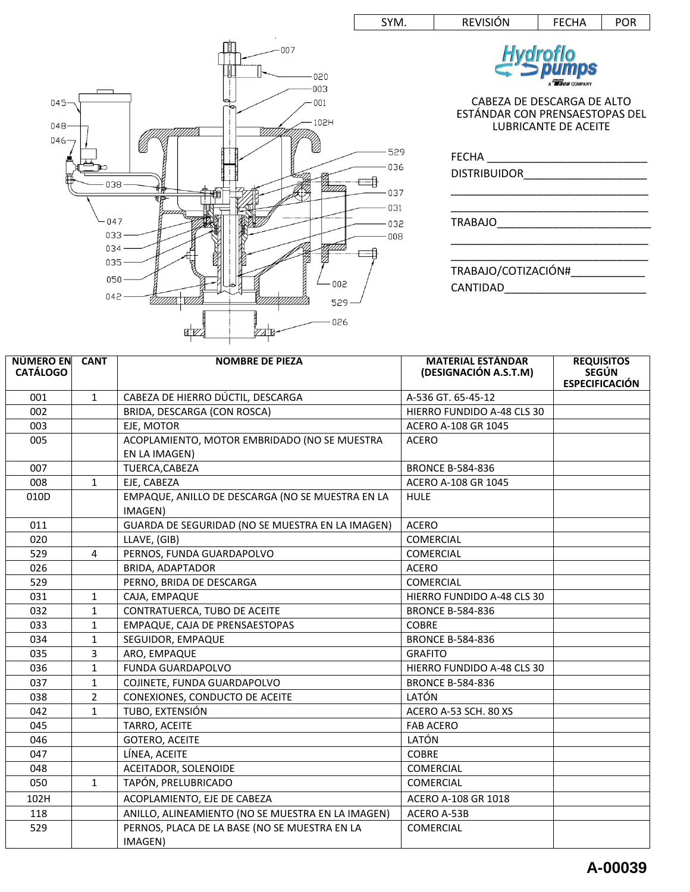



| <b>NÚMERO EN</b><br><b>CATÁLOGO</b> | <b>CANT</b>    | <b>NOMBRE DE PIEZA</b>                                   | <b>MATERIAL ESTÁNDAR</b><br>(DESIGNACIÓN A.S.T.M) | <b>REQUISITOS</b><br><b>SEGÚN</b> |
|-------------------------------------|----------------|----------------------------------------------------------|---------------------------------------------------|-----------------------------------|
|                                     |                |                                                          |                                                   | <b>ESPECIFICACIÓN</b>             |
| 001                                 | $\mathbf{1}$   | CABEZA DE HIERRO DÚCTIL, DESCARGA                        | A-536 GT. 65-45-12                                |                                   |
| 002                                 |                | BRIDA, DESCARGA (CON ROSCA)                              | HIERRO FUNDIDO A-48 CLS 30                        |                                   |
| 003                                 |                | EJE, MOTOR                                               | ACERO A-108 GR 1045                               |                                   |
| 005                                 |                | ACOPLAMIENTO, MOTOR EMBRIDADO (NO SE MUESTRA             | <b>ACERO</b>                                      |                                   |
|                                     |                | EN LA IMAGEN)                                            |                                                   |                                   |
| 007                                 |                | TUERCA, CABEZA                                           | <b>BRONCE B-584-836</b>                           |                                   |
| 008                                 | $\mathbf{1}$   | EJE, CABEZA                                              | ACERO A-108 GR 1045                               |                                   |
| 010D                                |                | EMPAQUE, ANILLO DE DESCARGA (NO SE MUESTRA EN LA         | <b>HULE</b>                                       |                                   |
|                                     |                | IMAGEN)                                                  |                                                   |                                   |
| 011                                 |                | GUARDA DE SEGURIDAD (NO SE MUESTRA EN LA IMAGEN)         | <b>ACERO</b>                                      |                                   |
| 020                                 |                | LLAVE, (GIB)                                             | <b>COMERCIAL</b>                                  |                                   |
| 529                                 | 4              | PERNOS, FUNDA GUARDAPOLVO                                | <b>COMERCIAL</b>                                  |                                   |
| 026                                 |                | BRIDA, ADAPTADOR                                         | <b>ACERO</b>                                      |                                   |
| 529                                 |                | PERNO, BRIDA DE DESCARGA                                 | <b>COMERCIAL</b>                                  |                                   |
| 031                                 | $\mathbf{1}$   | CAJA, EMPAQUE                                            | HIERRO FUNDIDO A-48 CLS 30                        |                                   |
| 032                                 | 1              | CONTRATUERCA, TUBO DE ACEITE                             | <b>BRONCE B-584-836</b>                           |                                   |
| 033                                 | 1              | EMPAQUE, CAJA DE PRENSAESTOPAS                           | <b>COBRE</b>                                      |                                   |
| 034                                 | $\mathbf{1}$   | SEGUIDOR, EMPAQUE                                        | <b>BRONCE B-584-836</b>                           |                                   |
| 035                                 | 3              | ARO, EMPAQUE                                             | <b>GRAFITO</b>                                    |                                   |
| 036                                 | 1              | <b>FUNDA GUARDAPOLVO</b>                                 | HIERRO FUNDIDO A-48 CLS 30                        |                                   |
| 037                                 | 1              | COJINETE, FUNDA GUARDAPOLVO                              | <b>BRONCE B-584-836</b>                           |                                   |
| 038                                 | $\overline{2}$ | CONEXIONES, CONDUCTO DE ACEITE                           | LATÓN                                             |                                   |
| 042                                 | 1              | TUBO, EXTENSIÓN                                          | ACERO A-53 SCH. 80 XS                             |                                   |
| 045                                 |                | TARRO, ACEITE                                            | <b>FAB ACERO</b>                                  |                                   |
| 046                                 |                | <b>GOTERO, ACEITE</b>                                    | LATÓN                                             |                                   |
| 047                                 |                | LÍNEA, ACEITE                                            | <b>COBRE</b>                                      |                                   |
| 048                                 |                | ACEITADOR, SOLENOIDE                                     | <b>COMERCIAL</b>                                  |                                   |
| 050                                 | $\mathbf{1}$   | TAPÓN, PRELUBRICADO                                      | <b>COMERCIAL</b>                                  |                                   |
| 102H                                |                | ACOPLAMIENTO, EJE DE CABEZA                              | ACERO A-108 GR 1018                               |                                   |
| 118                                 |                | ANILLO, ALINEAMIENTO (NO SE MUESTRA EN LA IMAGEN)        | ACERO A-53B                                       |                                   |
| 529                                 |                | PERNOS, PLACA DE LA BASE (NO SE MUESTRA EN LA<br>IMAGEN) | <b>COMERCIAL</b>                                  |                                   |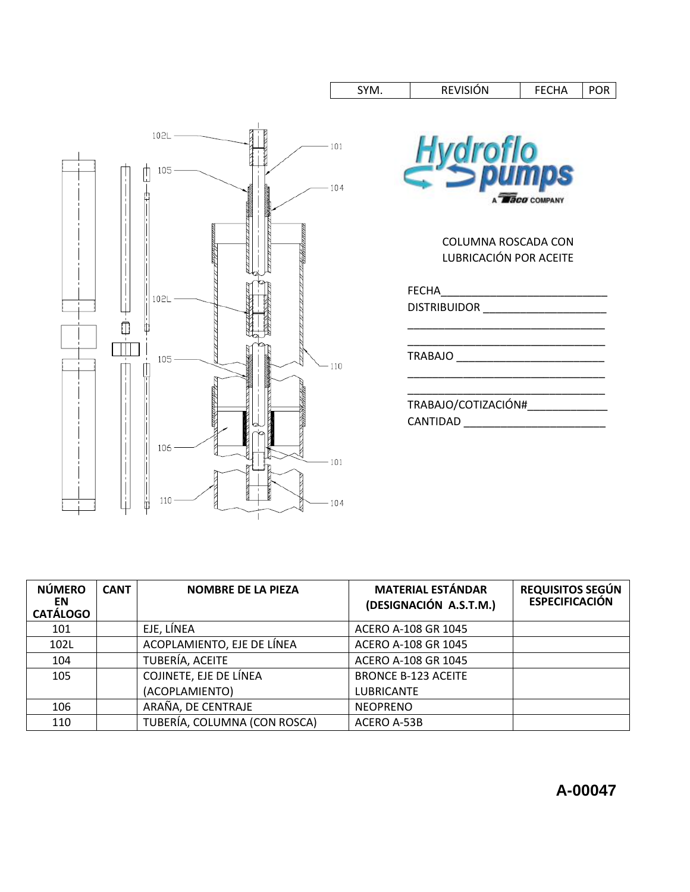

| <b>NÚMERO</b><br>EN<br><b>CATÁLOGO</b> | <b>CANT</b> | <b>NOMBRE DE LA PIEZA</b>    | <b>MATERIAL ESTÁNDAR</b><br>(DESIGNACIÓN A.S.T.M.) | <b>REQUISITOS SEGÚN</b><br><b>ESPECIFICACIÓN</b> |
|----------------------------------------|-------------|------------------------------|----------------------------------------------------|--------------------------------------------------|
| 101                                    |             | EJE, LÍNEA                   | ACERO A-108 GR 1045                                |                                                  |
| 102L                                   |             | ACOPLAMIENTO, EJE DE LÍNEA   | ACERO A-108 GR 1045                                |                                                  |
| 104                                    |             | TUBERÍA, ACEITE              | ACERO A-108 GR 1045                                |                                                  |
| 105                                    |             | COJINETE, EJE DE LÍNEA       | <b>BRONCE B-123 ACEITE</b>                         |                                                  |
|                                        |             | (ACOPLAMIENTO)               | <b>LUBRICANTE</b>                                  |                                                  |
| 106                                    |             | ARAÑA, DE CENTRAJE           | <b>NEOPRENO</b>                                    |                                                  |
| 110                                    |             | TUBERÍA, COLUMNA (CON ROSCA) | ACERO A-53B                                        |                                                  |